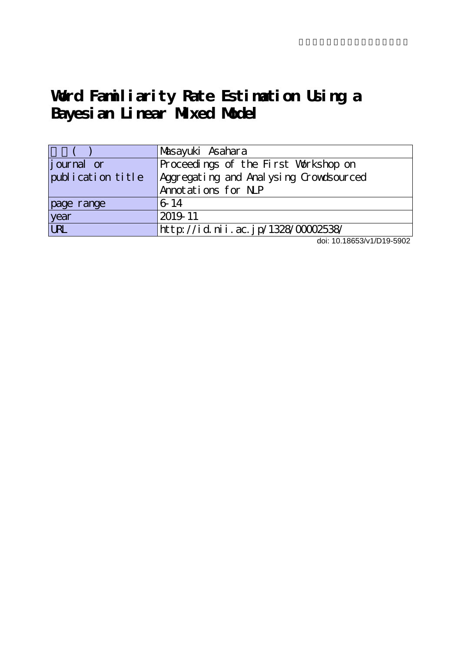# **Word Familiarity Rate Estimation Using a Bayesian Linear Mixed Model**

|                    | Masayuki Asahara                       |
|--------------------|----------------------------------------|
| <i>j</i> ournal or | Proceedings of the First Workshop on   |
| publication title  | Aggregating and Analysing Crowdsourced |
|                    | Annotations for N.P                    |
| page range         | 6-14                                   |
| year               | 2019-11                                |
| <b>URL</b>         | http://id.nii.ac.jp/1328/00002538/     |

doi: 10.18653/v1/D19-5902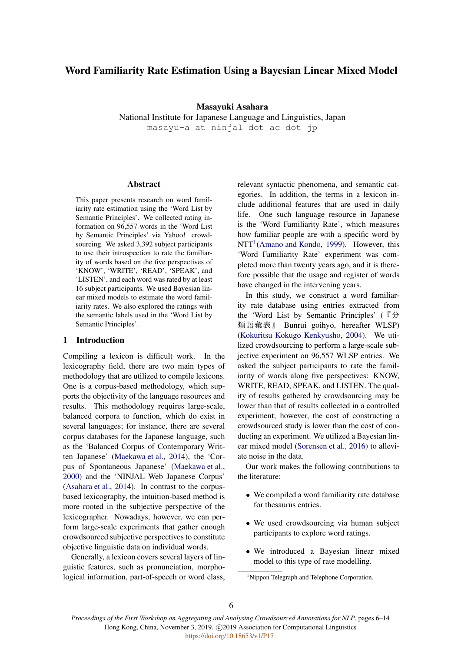# Word Familiarity Rate Estimation Using a Bayesian Linear Mixed Model

Masayuki Asahara

National Institute for Japanese Language and Linguistics, Japan masayu-a at ninjal dot ac dot jp

# **Abstract**

This paper presents research on word familiarity rate estimation using the 'Word List by Semantic Principles'. We collected rating information on 96,557 words in the 'Word List by Semantic Principles' via Yahoo! crowdsourcing. We asked 3,392 subject participants to use their introspection to rate the familiarity of words based on the five perspectives of 'KNOW', 'WRITE', 'READ', 'SPEAK', and 'LISTEN', and each word was rated by at least 16 subject participants. We used Bayesian linear mixed models to estimate the word familiarity rates. We also explored the ratings with the semantic labels used in the 'Word List by Semantic Principles'.

# 1 Introduction

Compiling a lexicon is difficult work. In the lexicography field, there are two main types of methodology that are utilized to compile lexicons. One is a corpus-based methodology, which supports the objectivity of the language resources and results. This methodology requires large-scale, balanced corpora to function, which do exist in several languages; for instance, there are several corpus databases for the Japanese language, such as the 'Balanced Corpus of Contemporary Written Japanese' (Maekawa et al., 2014), the 'Corpus of Spontaneous Japanese' (Maekawa et al., 2000) and the 'NINJAL Web Japanese Corpus' (Asahara et al., 2014). In contrast to the corpusbased lexicography, the intuition-based method is more rooted in the subjective perspective of the lexicographer. Nowadays, however, we can perform large-scale experiments that gather enough crowdsourced subjective perspectives to constitute objective linguistic data on individual words.

Generally, a lexicon covers several layers of linguistic features, such as pronunciation, morphological information, part-of-speech or word class, relevant syntactic phenomena, and semantic categories. In addition, the terms in a lexicon include additional features that are used in daily life. One such language resource in Japanese is the 'Word Familiarity Rate', which measures how familiar people are with a specific word by  $NTT<sup>1</sup>(Amano and Kondo, 1999)$ . However, this 'Word Familiarity Rate' experiment was completed more than twenty years ago, and it is therefore possible that the usage and register of words have changed in the intervening years.

In this study, we construct a word familiarity rate database using entries extracted from the 'Word List by Semantic Principles' ( $\mathbb{F}\hat{\mathcal{H}}$ ) 類語彙表』 Bunrui goihyo, hereafter WLSP) (Kokuritsu Kokugo Kenkyusho, 2004). We utilized crowdsourcing to perform a large-scale subjective experiment on 96,557 WLSP entries. We asked the subject participants to rate the familiarity of words along five perspectives: KNOW, WRITE, READ, SPEAK, and LISTEN. The quality of results gathered by crowdsourcing may be lower than that of results collected in a controlled experiment; however, the cost of constructing a crowdsourced study is lower than the cost of conducting an experiment. We utilized a Bayesian linear mixed model (Sorensen et al., 2016) to alleviate noise in the data.

Our work makes the following contributions to the literature:

- *•* We compiled a word familiarity rate database for thesaurus entries.
- We used crowdsourcing via human subject participants to explore word ratings.
- *•* We introduced a Bayesian linear mixed model to this type of rate modelling.

<sup>&</sup>lt;sup>1</sup>Nippon Telegraph and Telephone Corporation.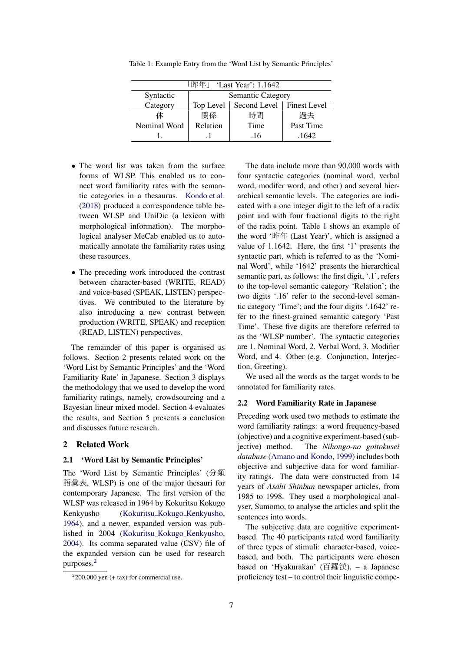|              | 「昨年」 'Last Year': 1.1642                 |      |           |  |  |
|--------------|------------------------------------------|------|-----------|--|--|
| Syntactic    | <b>Semantic Category</b>                 |      |           |  |  |
| Category     | Second Level   Finest Level<br>Top Level |      |           |  |  |
| 体            | 関係                                       | 時間   | 過去        |  |  |
| Nominal Word | Relation                                 | Time | Past Time |  |  |
|              |                                          | .16  | .1642     |  |  |

Table 1: Example Entry from the 'Word List by Semantic Principles'

- The word list was taken from the surface forms of WLSP. This enabled us to connect word familiarity rates with the semantic categories in a thesaurus. Kondo et al. (2018) produced a correspondence table between WLSP and UniDic (a lexicon with morphological information). The morphological analyser MeCab enabled us to automatically annotate the familiarity rates using these resources.
- *•* The preceding work introduced the contrast between character-based (WRITE, READ) and voice-based (SPEAK, LISTEN) perspectives. We contributed to the literature by also introducing a new contrast between production (WRITE, SPEAK) and reception (READ, LISTEN) perspectives.

The remainder of this paper is organised as follows. Section 2 presents related work on the 'Word List by Semantic Principles' and the 'Word Familiarity Rate' in Japanese. Section 3 displays the methodology that we used to develop the word familiarity ratings, namely, crowdsourcing and a Bayesian linear mixed model. Section 4 evaluates the results, and Section 5 presents a conclusion and discusses future research.

# 2 Related Work

#### 2.1 'Word List by Semantic Principles'

The 'Word List by Semantic Principles' (分類 語彙表, WLSP) is one of the major thesauri for contemporary Japanese. The first version of the WLSP was released in 1964 by Kokuritsu Kokugo Kenkyusho (Kokuritsu Kokugo Kenkyusho, 1964), and a newer, expanded version was published in 2004 (Kokuritsu Kokugo Kenkyusho, 2004). Its comma separated value (CSV) file of the expanded version can be used for research purposes.2

The data include more than 90,000 words with four syntactic categories (nominal word, verbal word, modifer word, and other) and several hierarchical semantic levels. The categories are indicated with a one integer digit to the left of a radix point and with four fractional digits to the right of the radix point. Table 1 shows an example of the word '昨年 (Last Year)', which is assigned a value of 1.1642. Here, the first '1' presents the syntactic part, which is referred to as the 'Nominal Word', while '1642' presents the hierarchical semantic part, as follows: the first digit, '.1', refers to the top-level semantic category 'Relation'; the two digits '.16' refer to the second-level semantic category 'Time'; and the four digits '.1642' refer to the finest-grained semantic category 'Past Time'. These five digits are therefore referred to as the 'WLSP number'. The syntactic categories are 1. Nominal Word, 2. Verbal Word, 3. Modifier Word, and 4. Other (e.g. Conjunction, Interjection, Greeting).

We used all the words as the target words to be annotated for familiarity rates.

# 2.2 Word Familiarity Rate in Japanese

Preceding work used two methods to estimate the word familiarity ratings: a word frequency-based (objective) and a cognitive experiment-based (subjective) method. The *Nihongo-no goitokusei database* (Amano and Kondo, 1999) includes both objective and subjective data for word familiarity ratings. The data were constructed from 14 years of *Asahi Shinbun* newspaper articles, from 1985 to 1998. They used a morphological analyser, Sumomo, to analyse the articles and split the sentences into words.

The subjective data are cognitive experimentbased. The 40 participants rated word familiarity of three types of stimuli: character-based, voicebased, and both. The participants were chosen based on 'Hyakurakan' (百羅漢), – a Japanese proficiency test – to control their linguistic compe-

 $2200,000$  yen (+ tax) for commercial use.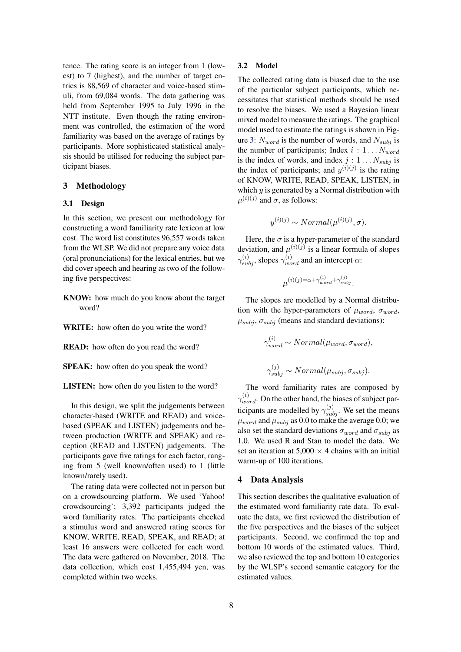tence. The rating score is an integer from 1 (lowest) to 7 (highest), and the number of target entries is 88,569 of character and voice-based stimuli, from 69,084 words. The data gathering was held from September 1995 to July 1996 in the NTT institute. Even though the rating environment was controlled, the estimation of the word familiarity was based on the average of ratings by participants. More sophisticated statistical analysis should be utilised for reducing the subject participant biases.

# 3 Methodology

#### 3.1 Design

In this section, we present our methodology for constructing a word familiarity rate lexicon at low cost. The word list constitutes 96,557 words taken from the WLSP. We did not prepare any voice data (oral pronunciations) for the lexical entries, but we did cover speech and hearing as two of the following five perspectives:

- KNOW: how much do you know about the target word?
- WRITE: how often do you write the word?

READ: how often do you read the word?

SPEAK: how often do you speak the word?

LISTEN: how often do you listen to the word?

In this design, we split the judgements between character-based (WRITE and READ) and voicebased (SPEAK and LISTEN) judgements and between production (WRITE and SPEAK) and reception (READ and LISTEN) judgements. The participants gave five ratings for each factor, ranging from 5 (well known/often used) to 1 (little known/rarely used).

The rating data were collected not in person but on a crowdsourcing platform. We used 'Yahoo! crowdsourcing'; 3,392 participants judged the word familiarity rates. The participants checked a stimulus word and answered rating scores for KNOW, WRITE, READ, SPEAK, and READ; at least 16 answers were collected for each word. The data were gathered on November, 2018. The data collection, which cost 1,455,494 yen, was completed within two weeks.

# 3.2 Model

The collected rating data is biased due to the use of the particular subject participants, which necessitates that statistical methods should be used to resolve the biases. We used a Bayesian linear mixed model to measure the ratings. The graphical model used to estimate the ratings is shown in Figure 3:  $N_{word}$  is the number of words, and  $N_{subj}$  is the number of participants; Index *i* : 1 *...Nword* is the index of words, and index  $j: 1...N_{subj}$  is the index of participants; and  $y^{(i)(j)}$  is the rating of KNOW, WRITE, READ, SPEAK, LISTEN, in which *y* is generated by a Normal distribution with  $\mu^{(i)(j)}$  and  $\sigma$ , as follows:

$$
y^{(i)(j)} \sim Normal(\mu^{(i)(j)}, \sigma).
$$

Here, the  $\sigma$  is a hyper-parameter of the standard deviation, and  $\mu^{(i)(j)}$  is a linear formula of slopes  $\gamma_{subj}^{(i)}$ , slopes  $\gamma_{word}^{(i)}$  and an intercept  $\alpha$ :

$$
\mu^{(i)(j)=\alpha+\gamma_{word}^{(i)}+\gamma_{subj}^{(j)}}.
$$

The slopes are modelled by a Normal distribution with the hyper-parameters of  $\mu_{word}$ ,  $\sigma_{word}$ ,  $\mu_{subj}$ ,  $\sigma_{subj}$  (means and standard deviations):

$$
\gamma_{word}^{(i)} \sim Normal(\mu_{word}, \sigma_{word}),
$$
  

$$
\gamma_{subj}^{(j)} \sim Normal(\mu_{subj}, \sigma_{subj}).
$$

The word familiarity rates are composed by  $\gamma_{word}^{(i)}$ . On the other hand, the biases of subject participants are modelled by  $\gamma_{subj}^{(j)}$ . We set the means  $\mu_{word}$  and  $\mu_{subj}$  as 0.0 to make the average 0.0; we also set the standard deviations  $\sigma_{word}$  and  $\sigma_{subj}$  as 1.0. We used R and Stan to model the data. We set an iteration at  $5,000 \times 4$  chains with an initial warm-up of 100 iterations.

### 4 Data Analysis

This section describes the qualitative evaluation of the estimated word familiarity rate data. To evaluate the data, we first reviewed the distribution of the five perspectives and the biases of the subject participants. Second, we confirmed the top and bottom 10 words of the estimated values. Third, we also reviewed the top and bottom 10 categories by the WLSP's second semantic category for the estimated values.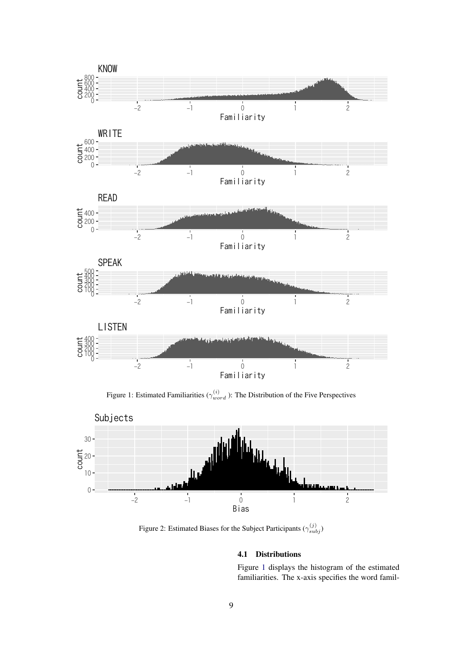

Figure 1: Estimated Familiarities ( $\gamma_{word}^{(i)}$ ): The Distribution of the Five Perspectives



Figure 2: Estimated Biases for the Subject Participants  $(\gamma_{subj}^{(j)})$ 

# 4.1 Distributions

Figure 1 displays the histogram of the estimated familiarities. The x-axis specifies the word famil-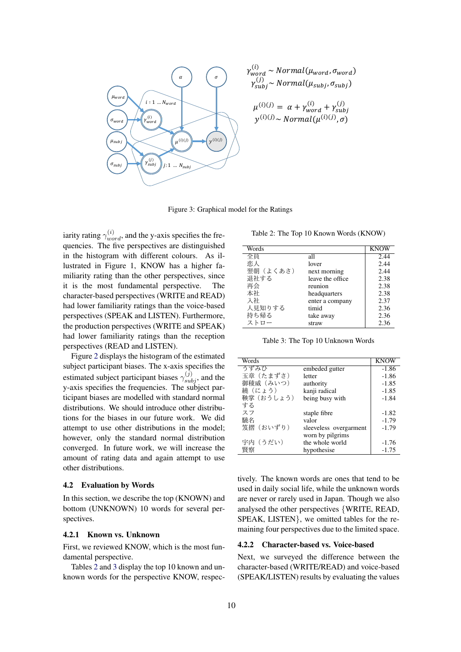

$$
\gamma_{word}^{(i)} \sim Normal(\mu_{word}, \sigma_{word})
$$
  
\n
$$
\gamma_{subj}^{(j)} \sim Normal(\mu_{subj}, \sigma_{subj})
$$
  
\n(i) (j) (j)

$$
\mu^{(3)} = a + \gamma_{word} + \gamma_{subj}
$$
  

$$
y^{(i)(j)} \sim Normal(\mu^{(i)(j)}, \sigma)
$$

Figure 3: Graphical model for the Ratings

iarity rating  $\gamma_{word}^{(i)}$ , and the y-axis specifies the frequencies. The five perspectives are distinguished in the histogram with different colours. As illustrated in Figure 1, KNOW has a higher familiarity rating than the other perspectives, since it is the most fundamental perspective. The character-based perspectives (WRITE and READ) had lower familiarity ratings than the voice-based perspectives (SPEAK and LISTEN). Furthermore, the production perspectives (WRITE and SPEAK) had lower familiarity ratings than the reception perspectives (READ and LISTEN).

Figure 2 displays the histogram of the estimated subject participant biases. The x-axis specifies the estimated subject participant biases  $\gamma_{subj}^{(j)}$ , and the y-axis specifies the frequencies. The subject participant biases are modelled with standard normal distributions. We should introduce other distributions for the biases in our future work. We did attempt to use other distributions in the model; however, only the standard normal distribution converged. In future work, we will increase the amount of rating data and again attempt to use other distributions.

#### 4.2 Evaluation by Words

In this section, we describe the top (KNOWN) and bottom (UNKNOWN) 10 words for several perspectives.

#### 4.2.1 Known vs. Unknown

First. we reviewed KNOW, which is the most fundamental perspective.

Tables 2 and 3 display the top 10 known and unknown words for the perspective KNOW, respec-

Table 2: The Top 10 Known Words (KNOW)

|                  | <b>KNOW</b> |
|------------------|-------------|
| all              | 2.44        |
| lover            | 2.44        |
| next morning     | 2.44        |
| leave the office | 2.38        |
| reunion          | 2.38        |
| headquarters     | 2.38        |
| enter a company  | 2.37        |
| timid            | 2.36        |
| take away        | 2.36        |
| straw            | 2.36        |
|                  |             |

Table 3: The Top 10 Unknown Words

| Words     |                        | KNOW    |
|-----------|------------------------|---------|
| うずみひ      | embeded gutter         | $-1.86$ |
| 玉章 (たまずさ) | letter                 | $-1.86$ |
| 御稜威(みいつ)  | authority              | $-1.85$ |
| 繞(にょう)    | kanji radical          | $-1.85$ |
| 鞅掌(おうしょう) | being busy with        | $-1.84$ |
| する        |                        |         |
| スフ        | staple fibre           | $-1.82$ |
| 驍名        | valor                  | $-1.79$ |
| 笈摺(おいずり)  | sleeveless overgarment | $-1.79$ |
|           | worn by pilgrims       |         |
| 宇内(うだい)   | the whole world        | $-1.76$ |
| 瞖察        | hypothesise            | $-1.75$ |
|           |                        |         |

tively. The known words are ones that tend to be used in daily social life, while the unknown words are never or rarely used in Japan. Though we also analysed the other perspectives {WRITE, READ, SPEAK, LISTEN}, we omitted tables for the remaining four perspectives due to the limited space.

#### 4.2.2 Character-based vs. Voice-based

Next, we surveyed the difference between the character-based (WRITE/READ) and voice-based (SPEAK/LISTEN) results by evaluating the values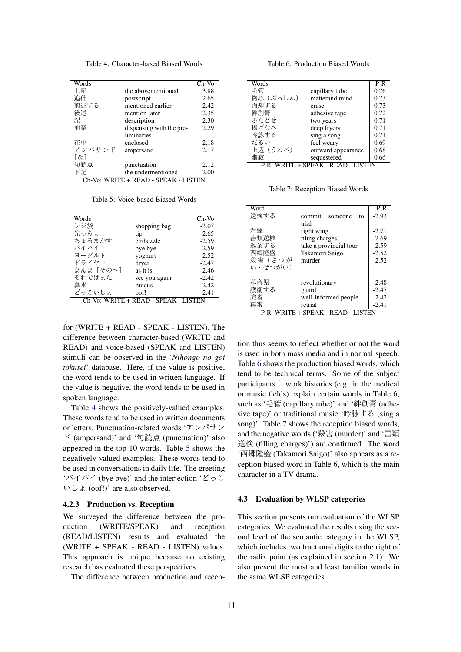Table 4: Character-based Biased Words

| Words                                |                          | $Ch-Vo$ |  |
|--------------------------------------|--------------------------|---------|--|
| 上記                                   | the abovementioned       | 3.88    |  |
| 追伸                                   | postscript               | 2.65    |  |
| 前述する                                 | mentioned earlier        | 2.42    |  |
| 後述                                   | mention later            | 2.35    |  |
| 記                                    | description              | 2.30    |  |
| 前略                                   | dispensing with the pre- | 2.29    |  |
|                                      | liminaries               |         |  |
| 在中                                   | enclosed                 | 2.18    |  |
| アンパサンド                               | ampersand                | 2.17    |  |
| T & 1                                |                          |         |  |
| 句読点                                  | punctuation              | 2.12    |  |
| 下記                                   | the undermentioned       | 2.00    |  |
| Ch-Vo: WRITE + READ - SPEAK - LISTEN |                          |         |  |

Table 5: Voice-based Biased Words

| Words    |               | $Ch-Vo$ |
|----------|---------------|---------|
| レジ袋      | shopping bag  | $-3.07$ |
| 先っちょ     | tip           | $-2.65$ |
| ちょろまかす   | embezzle      | $-2.59$ |
| バイバイ     | bye bye       | $-2.59$ |
| ヨーグルト    | yoghurt       | $-2.52$ |
| ドライヤー    | dryer         | $-2.47$ |
| まんま「その~] | as it is      | $-2.46$ |
| それではまた   | see you again | $-2.42$ |
| 鼻水       | mucus         | $-2.42$ |
| どっこいしょ   | oof!          | $-2.41$ |

Ch-Vo: WRITE + READ - SPEAK - LISTEN

for (WRITE + READ - SPEAK - LISTEN). The difference between character-based (WRITE and READ) and voice-based (SPEAK and LISTEN) stimuli can be observed in the 'Nihongo no goi tokusei' database. Here, if the value is positive, the word tends to be used in written language. If the value is negative, the word tends to be used in spoken language.

Table 4 shows the positively-valued examples. These words tend to be used in written documents or letters. Punctuation-related words 'アンパサン ド (ampersand)' and '句読点 (punctuation)' also appeared in the top 10 words. Table 5 shows the negatively-valued examples. These words tend to be used in conversations in daily life. The greeting 'バイバイ (bye bye)' and the interjection 'どっこ  $\forall$  L  $\angle$  (oof!)' are also observed.

# 4.2.3 Production vs. Reception

We surveyed the difference between the production (WRITE/SPEAK) and reception (READ/LISTEN) results and evaluated the (WRITE + SPEAK - READ - LISTEN) values. This approach is unique because no existing research has evaluated these perspectives.

The difference between production and recep-

Table 6: Production Biased Words

| Words    |                                    | P-R  |
|----------|------------------------------------|------|
| 毛管       | capillary tube                     | 0.76 |
| 物心(ぶっしん) | matterand mind                     | 0.73 |
| 消却する     | erase                              | 0.73 |
| 絆創膏      | adhesive tape                      | 0.72 |
| ふたとせ     | two years                          | 0.71 |
| 揚げなべ     | deep fryers                        | 0.71 |
| 吟詠する     | sing a song                        | 0.71 |
| だるい      | feel weary                         | 0.69 |
| 上辺(うわべ)  | outward appearance                 | 0.68 |
| 幽寂       | sequestered                        | 0.66 |
|          | P-R: WRITE + SPEAK - READ - LISTEN |      |

Table 7: Reception Biased Words

| Word                                         |                         | $P-R$   |  |
|----------------------------------------------|-------------------------|---------|--|
| 送検する                                         | commit<br>someone<br>tο | $-2.93$ |  |
|                                              | trial                   |         |  |
| 右翼                                           | right wing              | $-2.71$ |  |
| 書類送検                                         | filing charges          | $-2.69$ |  |
| 巡業する                                         | take a provincial tour  | $-2.59$ |  |
| 西郷降盛                                         | Takamori Saigo          | $-2.52$ |  |
| 殺害(さつが                                       | murder                  | $-2.52$ |  |
| い・せつがい)                                      |                         |         |  |
|                                              |                         |         |  |
| 革命児                                          | revolutionary           | $-2.48$ |  |
| 護衛する                                         | guard                   | $-2.47$ |  |
| 識者                                           | well-informed people    | $-2.42$ |  |
| 再審                                           | retrial                 | $-2.41$ |  |
| P-R: WRITE + SPEAK -<br>ISTEN<br><b>READ</b> |                         |         |  |

tion thus seems to reflect whether or not the word is used in both mass media and in normal speech. Table 6 shows the production biased words, which tend to be technical terms. Some of the subject participants' work histories (e.g. in the medical or music fields) explain certain words in Table 6, such as '毛管 (capillary tube)' and '絆創膏 (adhesive tape)' or traditional music '吟詠する (sing a song)'. Table 7 shows the reception biased words, and the negative words ('殺害 (murder)' and '書類 送検 (filling charges)') are confirmed. The word '西郷隆盛 (Takamori Saigo)' also appears as a reception biased word in Table 6, which is the main character in a TV drama.

#### 4.3 Evaluation by WLSP categories

This section presents our evaluation of the WLSP categories. We evaluated the results using the second level of the semantic category in the WLSP, which includes two fractional digits to the right of the radix point (as explained in section 2.1). We also present the most and least familiar words in the same WLSP categories.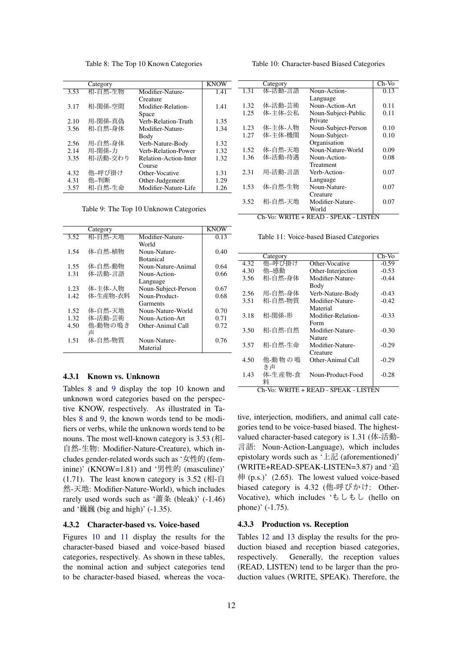Table 8: The Top 10 Known Categories

|      | Category |                       | KNOW |
|------|----------|-----------------------|------|
| 3.53 | 相-自然-生物  | Modifier-Nature-      | 1.41 |
|      |          | Creature              |      |
| 3.17 | 相-関係-空間  | Modifier-Relation-    | 1.41 |
|      |          | Space                 |      |
| 2.10 | 用-関係-真偽  | Verb-Relation-Truth   | 1.35 |
| 3.56 | 相-自然-身体  | Modifier-Nature-      | 1.34 |
|      |          | Body                  |      |
| 2.56 | 用-自然-身体  | Verb-Nature-Body      | 1.32 |
| 2.14 | 用-関係-力   | Verb-Relation-Power   | 1.32 |
| 3.35 | 相-活動-交わり | Relation-Action-Inter | 1.32 |
|      |          | Course                |      |
| 4.32 | 他-呼び掛け   | Other-Vocative        | 1.31 |
| 4.31 | 他-判断     | Other-Judgement       | 1.29 |
| 3.57 | 相-自然-生命  | Modifier-Nature-Life  | 1.26 |
|      |          |                       |      |

Table 9: The Top 10 Unknown Categories

|      | Category |                     | KNOW |
|------|----------|---------------------|------|
| 3.52 | 相-自然-天地  | Modifier-Nature-    | 0.13 |
|      |          | World               |      |
| 1.54 | 体-自然-植物  | Noun-Nature-        | 0.40 |
|      |          | <b>Botanical</b>    |      |
| 1.55 | 体-自然-動物  | Noun-Nature-Animal  | 0.64 |
| 1.31 | 体-活動-言語  | Noun-Action-        | 0.66 |
|      |          | Language            |      |
| 1.23 | 体-主体-人物  | Noun-Subject-Person | 0.67 |
| 1.42 | 体-生産物-衣料 | Noun-Product-       | 0.68 |
|      |          | Garments            |      |
| 1.52 | 体-自然-天地  | Noun-Nature-World   | 0.70 |
| 1.32 | 体-活動-芸術  | Noun-Action-Art     | 0.71 |
| 4.50 | 他-動物の鳴き  | Other-Animal Call   | 0.72 |
|      | 吉        |                     |      |
| 1.51 | 体-自然-物質  | Noun-Nature-        | 0.76 |
|      |          | Material            |      |

# 4.3.1 Known vs. Unknown

Tables 8 and 9 display the top 10 known and unknown word categories based on the perspective KNOW, respectively. As illustrated in Tables 8 and 9, the known words tend to be modifiers or verbs, while the unknown words tend to be nouns. The most well-known category is  $3.53$  (相-ࣗવ-ੜ: Modifier-Nature-Creature), which includes gender-related words such as '女性的 (feminine)' (KNOW=1.81) and '男性的 (masculine)'  $(1.71)$ . The least known category is 3.52 (相-自 然-天地: Modifier-Nature-World), which includes rarely used words such as '蕭条 (bleak)'  $(-1.46)$ and '巍巍 (big and high)'  $(-1.35)$ .

#### 4.3.2 Character-based vs. Voice-based

Figures 10 and 11 display the results for the character-based biased and voice-based biased categories, respectively. As shown in these tables, the nominal action and subject categories tend to be character-based biased, whereas the voca-

Category Ch-Vo<br>体-活動-言語 Noun-Action- 0.13 1.31 体-活動-言語 Noun-Action-Language 0.13 1.32 体-活動-芸術 Noun-Action-Art | 0.11<br>1.25 体-主体-公私 Noun-Subject-Public 0.11 Noun-Subject-Public Private 0.11 1.23 体-主体-人物 Noun-Subject-Person 0.10<br>1.27 体-主体-機関 Noun-Subject-0.10 1.<br>体-主体-機関 Noun-Subject-**Organisation** 0.10 1.52 体-自然-天地 Noun-Nature-World | 0.09 1.36 体-活動-待遇 Noun-Action-Treatment<br>Verb-Action-0.08 2.31 用-活動-言語 Language 0.07 1.53 体-自然-生物 Noun-Nature-**Creature** 0.07 3.52 相-自然-天地 Modifier-Nature-World 0.07

Ch-Vo: WRITE + READ - SPEAK - LISTEN

Table 11: Voice-based Biased Categories

|      | Category |                    | Ch-Vo   |
|------|----------|--------------------|---------|
| 4.32 | 他–呼び掛け   | Other-Vocative     | $-0.59$ |
| 4.30 | 他-感動     | Other-Interjection | $-0.53$ |
| 3.56 | 相-自然-身体  | Modifier-Nature-   | $-0.44$ |
|      |          | Body               |         |
| 2.56 | 用-自然-身体  | Verb-Nature-Body   | $-0.43$ |
| 3.51 | 相-自然-物質  | Modifier-Nature-   | $-0.42$ |
|      |          | Material           |         |
| 3.18 | 相-関係-形   | Modifier-Relation- | $-0.33$ |
|      |          | Form               |         |
| 3.50 | 相-自然-自然  | Modifier-Nature-   | $-0.30$ |
|      |          | Nature             |         |
| 3.57 | 相-自然-生命  | Modifier-Nature-   | $-0.29$ |
|      |          | Creature           |         |
| 4.50 | 他-動物の鳴   | Other-Animal Call  | $-0.29$ |
|      | き声       |                    |         |
| 1.43 | 体-生産物-食  | Noun-Product-Food  | $-0.28$ |
|      | 料        |                    |         |

Ch-Vo: WRITE + READ - SPEAK - LISTEN

tive, interjection, modifiers, and animal call categories tend to be voice-based biased. The highestvalued character-based category is 1.31 (体-活動-ޠݴ: Noun-Action-Language), which includes epistolary words such as  $' \pm \frac{2}{\sqrt{3}}$  (aforementioned)' (WRITE+READ-SPEAK-LISTEN=3.87) and '  $($ p.s. $)$ '  $(2.65)$ . The lowest valued voice-based biased category is 4.32 (他-呼びかけ: Other-Vocative), which includes ' $\overline{t} \cup \overline{t} \cup \overline{t}$  (hello on phone)' (-1.75).

#### 4.3.3 Production vs. Reception

Tables 12 and 13 display the results for the production biased and reception biased categories, respectively. Generally, the reception values (READ, LISTEN) tend to be larger than the production values (WRITE, SPEAK). Therefore, the

Table 10: Character-based Biased Categories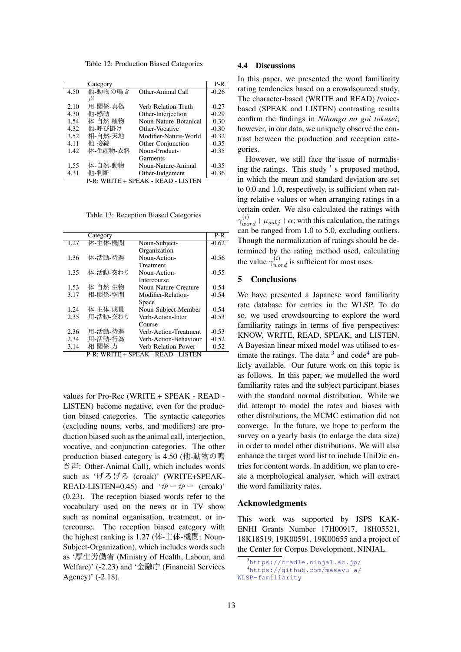Table 12: Production Biased Categories

|      | Category |                       | $P-R$   |
|------|----------|-----------------------|---------|
| 4.50 | 他-動物の鳴き  | Other-Animal Call     | $-0.26$ |
|      | 吉        |                       |         |
| 2.10 | 用-関係-真偽  | Verb-Relation-Truth   | $-0.27$ |
| 4.30 | 他-感動     | Other-Interjection    | $-0.29$ |
| 1.54 | 体-自然-植物  | Noun-Nature-Botanical | $-0.30$ |
| 4.32 | 他-呼び掛け   | Other-Vocative        | $-0.30$ |
| 3.52 | 相-自然-天地  | Modifier-Nature-World | $-0.32$ |
| 4.11 | 他-接続     | Other-Conjunction     | $-0.35$ |
| 1.42 | 体-生産物-衣料 | Noun-Product-         | $-0.35$ |
|      |          | Garments              |         |
| 1.55 | 体-自然-動物  | Noun-Nature-Animal    | $-0.35$ |
| 4.31 | 他-判断     | Other-Judgement       | $-0.36$ |
|      |          |                       |         |

P-R: WRITE + SPEAK - READ - LISTEN

Table 13: Reception Biased Categories

|      | Category |                       | $P-R$   |
|------|----------|-----------------------|---------|
| 1.27 | 体-主体-機関  | Noun-Subject-         | $-0.62$ |
|      |          | Organization          |         |
| 1.36 | 体-活動-待遇  | Noun-Action-          | $-0.56$ |
|      |          | Treatment             |         |
| 1.35 | 体-活動-交わり | Noun-Action-          | $-0.55$ |
|      |          | Intercourse           |         |
| 1.53 | 体-自然-生物  | Noun-Nature-Creature  | $-0.54$ |
| 3.17 | 相-関係-空間  | Modifier-Relation-    | $-0.54$ |
|      |          | Space                 |         |
| 1.24 | 体-主体-成員  | Noun-Subject-Member   | $-0.54$ |
| 2.35 | 用-活動-交わり | Verb-Action-Inter     | $-0.53$ |
|      |          | Course                |         |
| 2.36 | 用-活動-待遇  | Verb-Action-Treatment | $-0.53$ |
| 2.34 | 用-活動-行為  | Verb-Action-Behaviour | $-0.52$ |
| 3.14 | 相-関係-力   | Verb-Relation-Power   | $-0.52$ |

P-R: WRITE + SPEAK - READ - LISTEN

values for Pro-Rec (WRITE + SPEAK - READ - LISTEN) become negative, even for the production biased categories. The syntactic categories (excluding nouns, verbs, and modifiers) are production biased such as the animal call, interjection, vocative, and conjunction categories. The other production biased category is 4.50 (他-動物の鳴 ͖: Other-Animal Call), which includes words such as 'げろげろ (croak)' (WRITE+SPEAK-READ-LISTEN=0.45) and ' $\dot{\mathcal{D}}$   $\rightarrow$   $\dot{\mathcal{D}}$  (croak)' (0.23). The reception biased words refer to the vocabulary used on the news or in TV show such as nominal organisation, treatment, or intercourse. The reception biased category with the highest ranking is 1.27 (体-主体-機関: Noun-Subject-Organization), which includes words such as '厚生労働省 (Ministry of Health, Labour, and Welfare)'  $(-2.23)$  and '金融庁 (Financial Services Agency)' (-2.18).

## 4.4 Discussions

In this paper, we presented the word familiarity rating tendencies based on a crowdsourced study. The character-based (WRITE and READ) /voicebased (SPEAK and LISTEN) contrasting results confirm the findings in *Nihongo no goi tokusei*; however, in our data, we uniquely observe the contrast between the production and reception categories.

However, we still face the issue of normalising the ratings. This study 's proposed method, in which the mean and standard deviation are set to 0.0 and 1.0, respectively, is sufficient when rating relative values or when arranging ratings in a certain order. We also calculated the ratings with  $\gamma_{word}^{(i)} + \mu_{subj} + \alpha$ ; with this calculation, the ratings can be ranged from 1.0 to 5.0, excluding outliers. Though the normalization of ratings should be determined by the rating method used, calculating the value  $\gamma_{word}^{(i)}$  is sufficient for most uses.

# 5 Conclusions

We have presented a Japanese word familiarity rate database for entries in the WLSP. To do so, we used crowdsourcing to explore the word familiarity ratings in terms of five perspectives: KNOW, WRITE, READ, SPEAK, and LISTEN. A Bayesian linear mixed model was utilised to estimate the ratings. The data  $3$  and code<sup>4</sup> are publicly available. Our future work on this topic is as follows. In this paper, we modelled the word familiarity rates and the subject participant biases with the standard normal distribution. While we did attempt to model the rates and biases with other distributions, the MCMC estimation did not converge. In the future, we hope to perform the survey on a yearly basis (to enlarge the data size) in order to model other distributions. We will also enhance the target word list to include UniDic entries for content words. In addition, we plan to create a morphological analyser, which will extract the word familiarity rates.

## Acknowledgments

This work was supported by JSPS KAK-ENHI Grants Number 17H00917, 18H05521, 18K18519, 19K00591, 19K00655 and a project of the Center for Corpus Development, NINJAL.

```
3
https://cradle.ninjal.ac.jp/
  4
https://github.com/masayu-a/
WLSP-familiarity
```